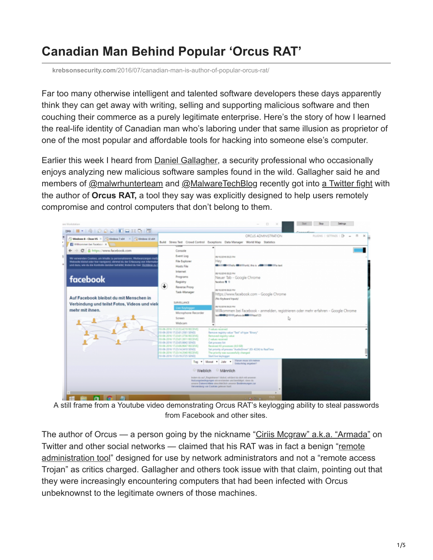## **Canadian Man Behind Popular 'Orcus RAT'**

**krebsonsecurity.com**[/2016/07/canadian-man-is-author-of-popular-orcus-rat/](https://krebsonsecurity.com/2016/07/canadian-man-is-author-of-popular-orcus-rat/)

Far too many otherwise intelligent and talented software developers these days apparently think they can get away with writing, selling and supporting malicious software and then couching their commerce as a purely legitimate enterprise. Here's the story of how I learned the real-life identity of Canadian man who's laboring under that same illusion as proprietor of one of the most popular and affordable tools for hacking into someone else's computer.

Earlier this week I heard from [Daniel Gallagher,](http://twitter.com/DanielGallagher) a security professional who occasionally enjoys analyzing new malicious software samples found in the wild. Gallagher said he and members of [@malwrhunterteam](https://twitter.com/malwrhunterteam) and [@MalwareTechBlog](https://twitter.com/malwaretechblog) recently got into [a Twitter fight](https://twitter.com/MalwareTechBlog/status/750738962889773056) with the author of **Orcus RAT,** a tool they say was explicitly designed to help users remotely compromise and control computers that don't belong to them.



A still frame from a Youtube video demonstrating Orcus RAT's keylogging ability to steal passwords from Facebook and other sites.

The author of Orcus — a person going by the nickname "[Ciriis Mcgraw" a.k.a. "Armada"](https://twitter.com/ciriis) on [Twitter and other social networks — claimed that his RAT was in fact a benign "remote](https://en.wikipedia.org/wiki/Remote_administration_software) administration tool" designed for use by network administrators and not a "remote access Trojan" as critics charged. Gallagher and others took issue with that claim, pointing out that they were increasingly encountering computers that had been infected with Orcus unbeknownst to the legitimate owners of those machines.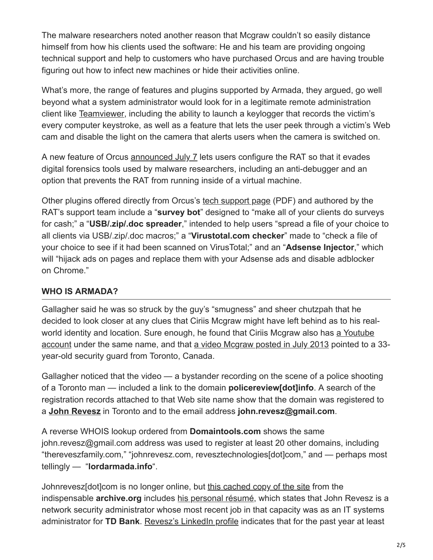The malware researchers noted another reason that Mcgraw couldn't so easily distance himself from how his clients used the software: He and his team are providing ongoing technical support and help to customers who have purchased Orcus and are having trouble figuring out how to infect new machines or hide their activities online.

What's more, the range of features and plugins supported by Armada, they argued, go well beyond what a system administrator would look for in a legitimate remote administration client like [Teamviewer,](https://www.teamviewer.com/en/download/windows/) including the ability to launch a keylogger that records the victim's every computer keystroke, as well as a feature that lets the user peek through a victim's Web cam and disable the light on the camera that alerts users when the camera is switched on.

A new feature of Orcus [announced July 7](https://twitter.com/Ciriis/status/751207981048561665) lets users configure the RAT so that it evades digital forensics tools used by malware researchers, including an anti-debugger and an option that prevents the RAT from running inside of a virtual machine.

Other plugins offered directly from Orcus's [tech support page](http://krebsonsecurity.com/wp-content/uploads/2016/07/Future-Plugins-Suggestions.pdf) (PDF) and authored by the RAT's support team include a "**survey bot**" designed to "make all of your clients do surveys for cash;" a "**USB/.zip/.doc spreader**," intended to help users "spread a file of your choice to all clients via USB/.zip/.doc macros;" a "**Virustotal.com checker**" made to "check a file of your choice to see if it had been scanned on VirusTotal;" and an "**Adsense Injector**," which will "hijack ads on pages and replace them with your Adsense ads and disable adblocker on Chrome."

## **WHO IS ARMADA?**

Gallagher said he was so struck by the guy's "smugness" and sheer chutzpah that he decided to look closer at any clues that Ciriis Mcgraw might have left behind as to his realworld identity and location. Sure enough, he found that Ciriis Mcgraw also has a Youtube [account under the same name, and that a video Mcgraw posted in July 2013 pointed to a](https://www.youtube.com/channel/UCy8xumhxs9VAY5M41s0ZgXA) 33 year-old security guard from Toronto, Canada.

Gallagher noticed that the video — a bystander recording on the scene of a police shooting of a Toronto man — included a link to the domain **policereview[dot]info**. A search of the registration records attached to that Web site name show that the domain was registered to a **[John Revesz](https://www.facebook.com/revesz)** in Toronto and to the email address **john.revesz@gmail.com**.

A reverse WHOIS lookup ordered from **Domaintools.com** shows the same john.revesz@gmail.com address was used to register at least 20 other domains, including "thereveszfamily.com," "johnrevesz.com, revesztechnologies[dot]com," and — perhaps most tellingly — "**lordarmada.info**".

Johnrevesz[dot]com is no longer online, but [this cached copy of the site](http://web.archive.org/web/*/http://www.johnrevesz.com/*) from the indispensable **archive.org** includes [his personal résumé](http://web.archive.org/web/20100316120333/http://www.johnrevesz.com/?page_id=8), which states that John Revesz is a network security administrator whose most recent job in that capacity was as an IT systems administrator for **TD Bank**. [Revesz's LinkedIn profile](https://www.linkedin.com/in/john-revesz-b3437b2?authType=NAME_SEARCH&authToken=JxFD&locale=en_US&srchid=24600671469033281031&srchindex=3&srchtotal=4&trk=vsrp_people_res_name&trkInfo=VSRPsearchId%3A24600671469033281031%2CVSRPtargetId%3A6884248%2CVSRPcmpt%3Aprimary%2CVSRPnm%3Atrue%2CauthType%3ANAME_SEARCH) indicates that for the past year at least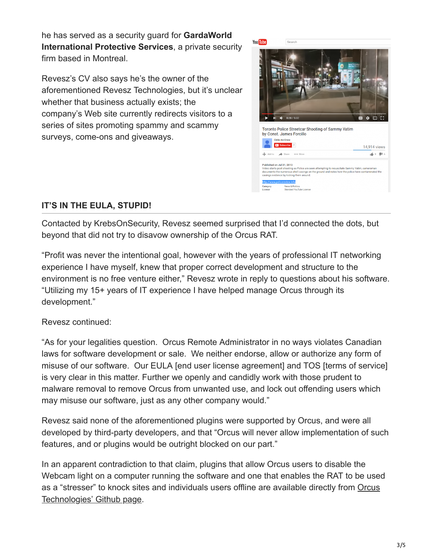he has served as a security guard for **GardaWorld International Protective Services**, a private security firm based in Montreal.

Revesz's CV also says he's the owner of the aforementioned Revesz Technologies, but it's unclear whether that business actually exists; the company's Web site currently redirects visitors to a series of sites promoting spammy and scammy surveys, come-ons and giveaways.



## **IT'S IN THE EULA, STUPID!**

Contacted by KrebsOnSecurity, Revesz seemed surprised that I'd connected the dots, but beyond that did not try to disavow ownership of the Orcus RAT.

"Profit was never the intentional goal, however with the years of professional IT networking experience I have myself, knew that proper correct development and structure to the environment is no free venture either," Revesz wrote in reply to questions about his software. "Utilizing my 15+ years of IT experience I have helped manage Orcus through its development."

Revesz continued:

"As for your legalities question. Orcus Remote Administrator in no ways violates Canadian laws for software development or sale. We neither endorse, allow or authorize any form of misuse of our software. Our EULA [end user license agreement] and TOS [terms of service] is very clear in this matter. Further we openly and candidly work with those prudent to malware removal to remove Orcus from unwanted use, and lock out offending users which may misuse our software, just as any other company would."

Revesz said none of the aforementioned plugins were supported by Orcus, and were all developed by third-party developers, and that "Orcus will never allow implementation of such features, and or plugins would be outright blocked on our part."

In an apparent contradiction to that claim, plugins that allow Orcus users to disable the Webcam light on a computer running the software and one that enables the RAT to be used [as a "stresser" to knock sites and individuals users offline are available directly from Orcus](https://github.com/OrcusTechnologies) Technologies' Github page.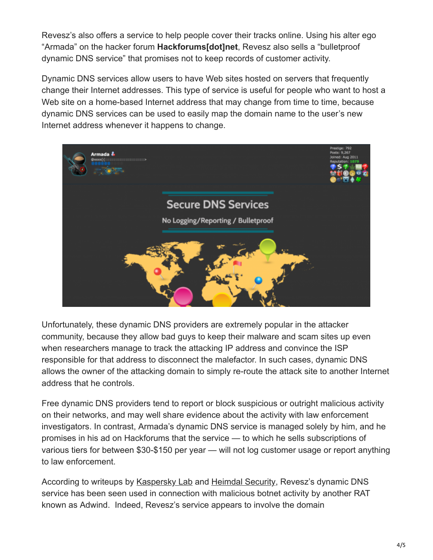Revesz's also offers a service to help people cover their tracks online. Using his alter ego "Armada" on the hacker forum **Hackforums[dot]net**, Revesz also sells a "bulletproof dynamic DNS service" that promises not to keep records of customer activity.

Dynamic DNS services allow users to have Web sites hosted on servers that frequently change their Internet addresses. This type of service is useful for people who want to host a Web site on a home-based Internet address that may change from time to time, because dynamic DNS services can be used to easily map the domain name to the user's new Internet address whenever it happens to change.



Unfortunately, these dynamic DNS providers are extremely popular in the attacker community, because they allow bad guys to keep their malware and scam sites up even when researchers manage to track the attacking IP address and convince the ISP responsible for that address to disconnect the malefactor. In such cases, dynamic DNS allows the owner of the attacking domain to simply re-route the attack site to another Internet address that he controls.

Free dynamic DNS providers tend to report or block suspicious or outright malicious activity on their networks, and may well share evidence about the activity with law enforcement investigators. In contrast, Armada's dynamic DNS service is managed solely by him, and he promises in his ad on Hackforums that the service — to which he sells subscriptions of various tiers for between \$30-\$150 per year — will not log customer usage or report anything to law enforcement.

According to writeups by [Kaspersky Lab](https://securelist.com/blog/research/73660/adwind-faq/) and [Heimdal Security,](https://heimdalsecurity.com/blog/security-alert-adwind-rat-targeted-attacks-zero-av-detection/) Revesz's dynamic DNS service has been seen used in connection with malicious botnet activity by another RAT known as Adwind. Indeed, Revesz's service appears to involve the domain